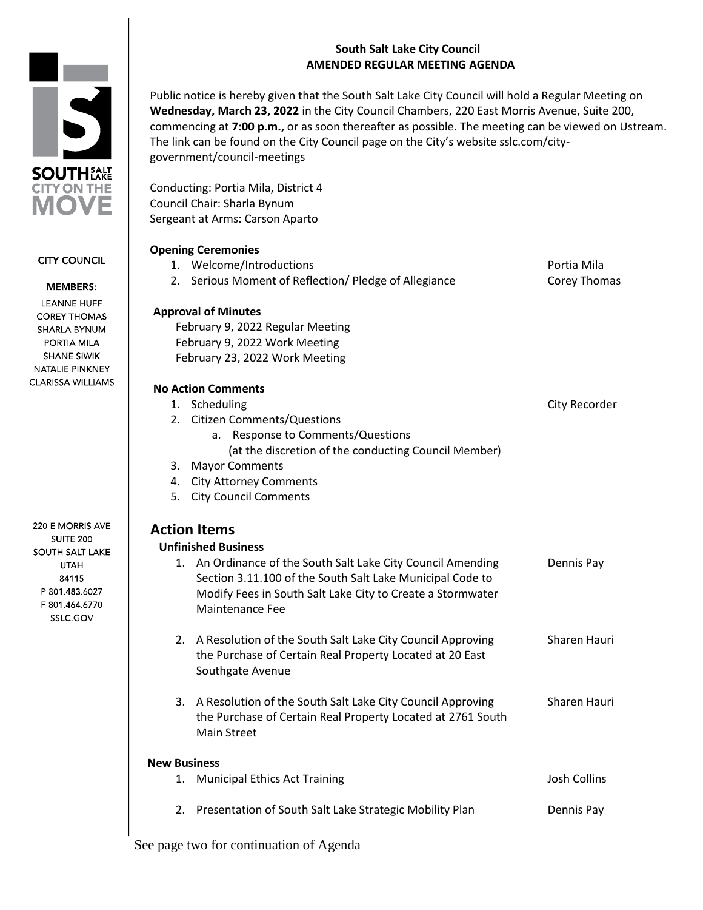## **South Salt Lake City Council AMENDED REGULAR MEETING AGENDA**



**CITY COUNCIL** 

#### **MEMBERS:**

**LEANNE HUFF COREY THOMAS** SHARLA BYNUM PORTIA MILA **SHANE SIWIK** NATALIE PINKNEY **CLARISSA WILLIAMS** 

220 E MORRIS AVE **SUITE 200 SOUTH SALT LAKE UTAH** 84115 P 801.483.6027 F 801.464.6770 SSLC.GOV

Public notice is hereby given that the South Salt Lake City Council will hold a Regular Meeting on **Wednesday, March 23, 2022** in the City Council Chambers, 220 East Morris Avenue, Suite 200, commencing at **7:00 p.m.,** or as soon thereafter as possible. The meeting can be viewed on Ustream. The link can be found on the City Council page on the City's website sslc.com/citygovernment/council-meetings

Conducting: Portia Mila, District 4 Council Chair: Sharla Bynum Sergeant at Arms: Carson Aparto

## **Opening Ceremonies**

|                     | 1. Welcome/Introductions                                                                                                     | Portia Mila         |
|---------------------|------------------------------------------------------------------------------------------------------------------------------|---------------------|
| 2.                  | Serious Moment of Reflection/ Pledge of Allegiance                                                                           | Corey Thomas        |
|                     | <b>Approval of Minutes</b>                                                                                                   |                     |
|                     | February 9, 2022 Regular Meeting                                                                                             |                     |
|                     | February 9, 2022 Work Meeting                                                                                                |                     |
|                     | February 23, 2022 Work Meeting                                                                                               |                     |
|                     | <b>No Action Comments</b>                                                                                                    |                     |
| 1.                  | Scheduling                                                                                                                   | City Recorder       |
|                     | 2. Citizen Comments/Questions                                                                                                |                     |
|                     | a. Response to Comments/Questions                                                                                            |                     |
|                     | (at the discretion of the conducting Council Member)                                                                         |                     |
| 3.                  | <b>Mayor Comments</b>                                                                                                        |                     |
| 4.                  | <b>City Attorney Comments</b>                                                                                                |                     |
| 5.                  | <b>City Council Comments</b>                                                                                                 |                     |
|                     | <b>Action Items</b>                                                                                                          |                     |
|                     | <b>Unfinished Business</b>                                                                                                   |                     |
|                     | 1. An Ordinance of the South Salt Lake City Council Amending                                                                 | Dennis Pay          |
|                     | Section 3.11.100 of the South Salt Lake Municipal Code to                                                                    |                     |
|                     | Modify Fees in South Salt Lake City to Create a Stormwater                                                                   |                     |
|                     | Maintenance Fee                                                                                                              |                     |
|                     | 2. A Resolution of the South Salt Lake City Council Approving                                                                | Sharen Hauri        |
|                     | the Purchase of Certain Real Property Located at 20 East                                                                     |                     |
|                     | Southgate Avenue                                                                                                             |                     |
|                     |                                                                                                                              | Sharen Hauri        |
|                     | 3. A Resolution of the South Salt Lake City Council Approving<br>the Purchase of Certain Real Property Located at 2761 South |                     |
|                     | <b>Main Street</b>                                                                                                           |                     |
|                     |                                                                                                                              |                     |
| <b>New Business</b> |                                                                                                                              |                     |
|                     | 1. Municipal Ethics Act Training                                                                                             | <b>Josh Collins</b> |
|                     | 2. Presentation of South Salt Lake Strategic Mobility Plan                                                                   | Dennis Pay          |
|                     |                                                                                                                              |                     |
|                     | See page two for continuation of Agenda                                                                                      |                     |